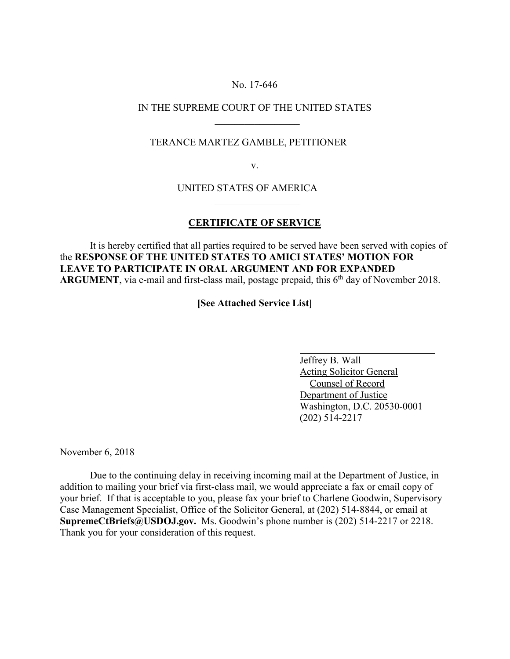### No. 17-646

## IN THE SUPREME COURT OF THE UNITED STATES  $\overline{\phantom{a}}$  , which is a set of the set of the set of the set of the set of the set of the set of the set of the set of the set of the set of the set of the set of the set of the set of the set of the set of the set of th

## TERANCE MARTEZ GAMBLE, PETITIONER

v.

# UNITED STATES OF AMERICA

 $\mathcal{L}_\text{max}$  and  $\mathcal{L}_\text{max}$  and  $\mathcal{L}_\text{max}$  and  $\mathcal{L}_\text{max}$  and  $\mathcal{L}_\text{max}$ 

### **CERTIFICATE OF SERVICE**

It is hereby certified that all parties required to be served have been served with copies of the **RESPONSE OF THE UNITED STATES TO AMICI STATES' MOTION FOR LEAVE TO PARTICIPATE IN ORAL ARGUMENT AND FOR EXPANDED ARGUMENT**, via e-mail and first-class mail, postage prepaid, this 6<sup>th</sup> day of November 2018.

**[See Attached Service List]**

 Jeffrey B. Wall Acting Solicitor General Counsel of Record Department of Justice Washington, D.C. 20530-0001 (202) 514-2217

November 6, 2018

Due to the continuing delay in receiving incoming mail at the Department of Justice, in addition to mailing your brief via first-class mail, we would appreciate a fax or email copy of your brief. If that is acceptable to you, please fax your brief to Charlene Goodwin, Supervisory Case Management Specialist, Office of the Solicitor General, at (202) 514-8844, or email at **SupremeCtBriefs@USDOJ.gov.** Ms. Goodwin's phone number is (202) 514-2217 or 2218. Thank you for your consideration of this request.